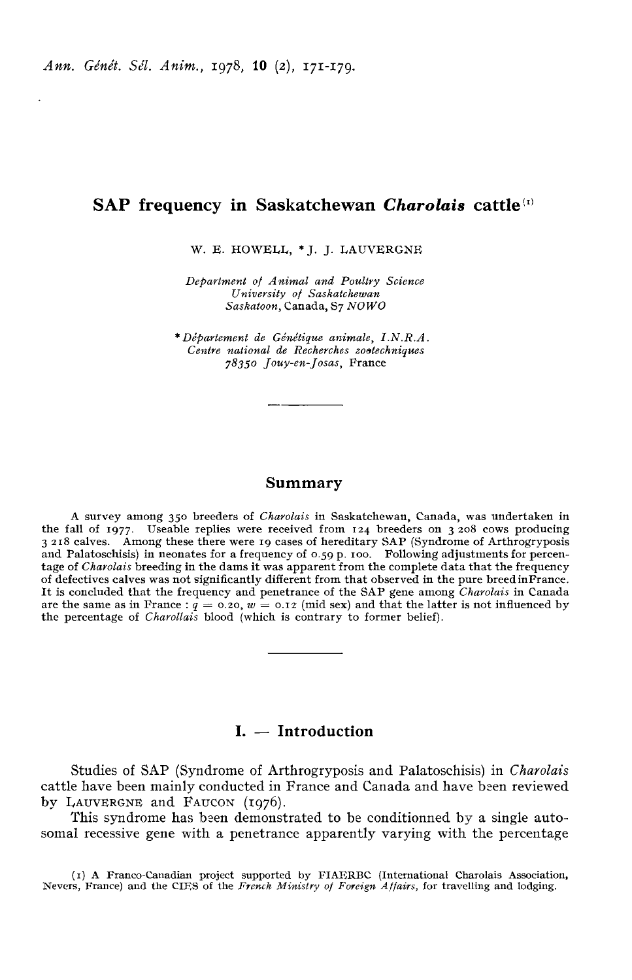# SAP frequency in Saskatchewan Charolais cattle<sup>(I)</sup>

W. E. HOWELL, \* J. J. LAUVERGNE

Department of Animal and Poultry Science University of Saskatchewan Saskatoon, Canada, S7 NOWO

\* DéPartement de Génétique animale, LN.R.A. 7835o Jouy-en-Josas, France Centre national de Recherches zootechniques<br>78350 Jouy-en-Josas, France

#### Summary

A survey among 350 breeders of Charolais in Saskatchewan, Canada, was undertaken in the fall of 1977. Useable replies were received from 124 breeders on 3 208 cows producing<br>3 218 calves. Among these there were 19 cases of hereditary SAP (Syndrome of Arthrogryposis and Palatoschisis) in neonates for a frequency of 0.59 p. 100. Following adjustments for percentage of Charolais breeding in the dams it was apparent from the complete data that the frequency of defectives calves was not significantly different from that observed in the pure breedinFrance. It is concluded that the frequency and penetrance of the SAP gene among Charolais in Canada are the same as in France :  $q = 0.20$ ,  $w = 0.12$  (mid sex) and that the latter is not influenced by the percentage of *Charollais* blood (which is contrary to former belief).

# $I. - Introduction$

Studies of SAP (Syndrome of Arthrogryposis and Palatoschisis) in Charolais cattle have been mainly conducted in France and Canada and have been reviewed by LAUVERGNE and FAUCON (1976).

This syndrome has been demonstrated to be conditionned by a single autosomal recessive gene with a penetrance apparently varying with the percentage

(i) A Franco-Canadian project supported by FIAERBC (International Charolais Association, Nevers, France) and the CIES of the French Ministry of Foreign Affairs, for travelling and lodging.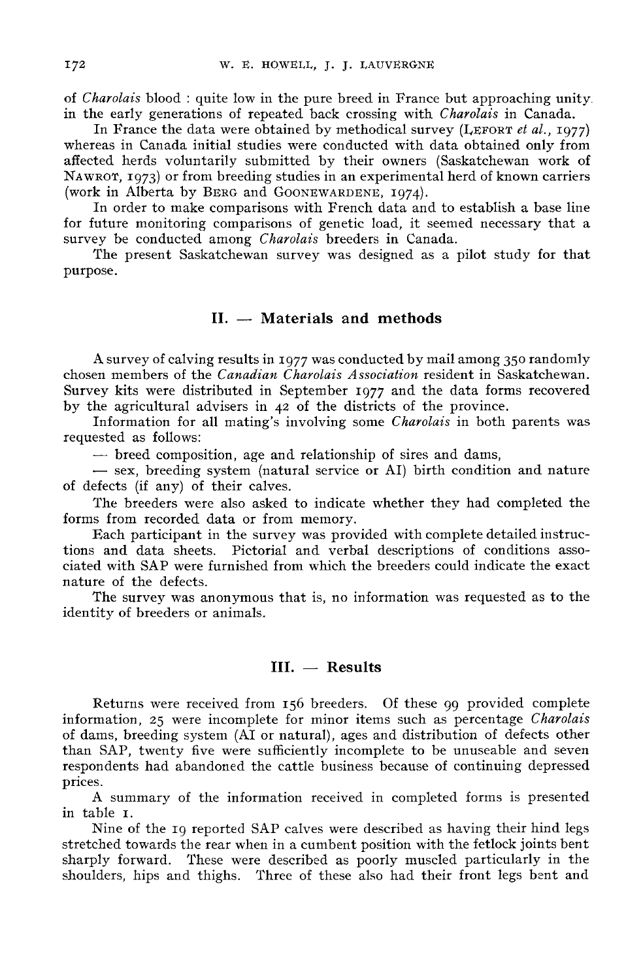of Charolais blood : quite low in the pure breed in France but approaching unity in the early generations of repeated back crossing with *Charolais* in Canada. harolais blood : quite low in the pure breed in France but approaching unity<br>ie early generations of repeated back crossing with *Charolais* in Canada.<br>In France the data were obtained by methodical survey (LEFORT *et al.* 

whereas in Canada initial studies were conducted with data obtained only from affected herds voluntarily submitted by their owners (Saskatchewan work of NAWROT, 1973) or from breeding studies in an experimental herd of known carriers in the early generations of repeated back crossing with *Charolais* in Canada.<br>In France the data were obtained by methodical survey (LEFORT *et al.*, 1977)<br>whereas in Canada initial studies were conducted with data obtain W. E. HOWELL, J. J. LAUVERGN<br>of *Charolais* blood : quite low in the pure breed in Franc<br>in the early generations of repeated back crossing with<br>In France the data were obtained by methodical sure<br>whereas in Canada initial

In order to make comparisons with French data and to establish a base line for future monitoring comparisons of genetic load, it seemed necessary that a survey be conducted among *Charolais* breeders in Canada.

The present Saskatchewan survey was designed as a pilot study for that purpose.

# $II. -$  Materials and methods

A survey of calving results in 1977 was conducted by mail among 350 randomly chosen members of the Canadian Charolais Association resident in Saskatchewan. Survey kits were distributed in September 1977 and the data forms recovered by the agricultural advisers in 42 of the districts of the province.

Information for all mating's involving some Charolais in both parents was requested as follows:<br>— breed composition, age and relationship of sires and dams,

- sex, breeding system (natural service or AI) birth condition and nature of defects (if any) of their calves.

The breeders were also asked to indicate whether they had completed the forms from recorded data or from memory.

Each participant in the survey was provided with complete detailed instructions and data sheets. Pictorial and verbal descriptions of conditions associated with SAP were furnished from which the breeders could indicate the exact nature of the defects.

The survey was anonymous that is, no information was requested as to the identity of breeders or animals.

## $III. - Results$

Returns were received from 156 breeders. Of these 99 provided complete information, 25 were incomplete for minor items such as percentage Charolais of dams, breeding system (AI or natural), ages and distribution of defects other than SAP, twenty five were sufficiently incomplete to be unuseable and seven respondents had abandoned the cattle business because of continuing depressed prices.

A summary of the information received in completed forms is presented in table 1.

Nine of the ig reported SAP calves were described as having their hind legs stretched towards the rear when in a cumbent position with the fetlock joints bent sharply forward. These were described as poorly muscled particularly in the shoulders, hips and thighs. Three of these also had their front legs bent and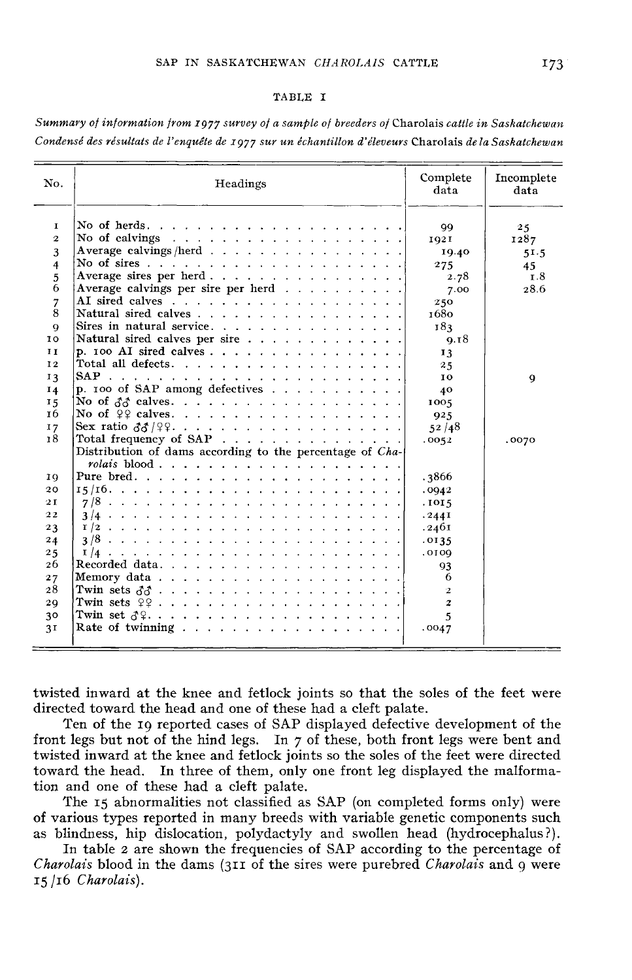#### TABLE I

Summary of information from 1977 survey of a sample of breeders of Charolais cattle in Saskatchewan Condensé des résultats de l'enquête de 1977 sur un échantillon d'éleveurs Charolais de la Saskatchewan

| No.                     | Headings                                                                               | Complete<br>data | Incomplete<br>data |  |
|-------------------------|----------------------------------------------------------------------------------------|------------------|--------------------|--|
| 1<br>$\overline{2}$     |                                                                                        | 99               | 25                 |  |
|                         | No of calvings $\ldots$ $\ldots$ $\ldots$ $\ldots$ $\ldots$ $\ldots$ $\ldots$ $\ldots$ | 1921             | 1287               |  |
| 3                       | Average calvings/herd                                                                  | 19.40            | 51.5               |  |
| $\overline{\mathbf{4}}$ |                                                                                        | 275              | 45                 |  |
| 5                       | Average sires per herd                                                                 | 2.78             | т.8                |  |
| 6                       | Average calvings per sire per herd                                                     | 7.00             | 28.6               |  |
| 7                       |                                                                                        | 250              |                    |  |
| 8                       | Natural sired calves                                                                   | 1680             |                    |  |
| $\mathbf Q$             | Sires in natural service.                                                              | 183              |                    |  |
| ΙO                      | Natural sired calves per sire                                                          | 9.18             |                    |  |
| II                      | p. 100 AI sired calves                                                                 | 13               |                    |  |
| 12                      |                                                                                        | 25               |                    |  |
| 13                      |                                                                                        | 10               | 9                  |  |
| 14                      | p. 100 of SAP among defectives                                                         | 40               |                    |  |
| 15                      | No of $\delta\delta$ calves.                                                           | 1005             |                    |  |
| 16                      | No of $99$ calves.                                                                     | 925              |                    |  |
| 17                      |                                                                                        | 52/48            |                    |  |
| 18                      | Total frequency of SAP                                                                 | .0052            | .0070              |  |
|                         | Distribution of dams according to the percentage of Cha-                               |                  |                    |  |
|                         | rolais blood                                                                           |                  |                    |  |
| 19                      |                                                                                        | .3866            |                    |  |
| 20                      |                                                                                        | .0942            |                    |  |
| 2I                      |                                                                                        | .1015            |                    |  |
| 22                      |                                                                                        | .2441            |                    |  |
| 23                      |                                                                                        | .2461            |                    |  |
| 24                      |                                                                                        | .0135            |                    |  |
| 25                      |                                                                                        | 0010,            |                    |  |
| 26                      |                                                                                        | 93               |                    |  |
| 27                      |                                                                                        | -6               |                    |  |
| 28                      |                                                                                        | $\mathbf{2}$     |                    |  |
| 29                      | Twin sets $99$                                                                         | $\boldsymbol{z}$ |                    |  |
| 30                      | Twin set $\delta$ ?                                                                    | 5                |                    |  |
| 3 <sub>I</sub>          |                                                                                        |                  |                    |  |
|                         |                                                                                        | .0047            |                    |  |
|                         |                                                                                        |                  |                    |  |

twisted inward at the knee and fetlock joints so that the soles of the feet were directed toward the head and one of these had a cleft palate.

Ten of the 19 reported cases of SAP displayed defective development of the front legs but not of the hind legs. In 7 of these, both front legs were bent and twisted inward at the knee and fetlock joints so the soles of the feet were directed toward the head. In three of them, only one front leg displayed the malformation and one of these had a cleft palate.

The 15 abnormalities not classified as SAP (on completed forms only) were of various types reported in many breeds with variable genetic components such as blindness, hip dislocation, polydactyly and swollen head (hydrocephalus?).

In table 2 are shown the frequencies of SAP according to the percentage of Charolais blood in the dams ( $311$  of the sires were purebred Charolais and  $9$  were  $15/16$  Charolais).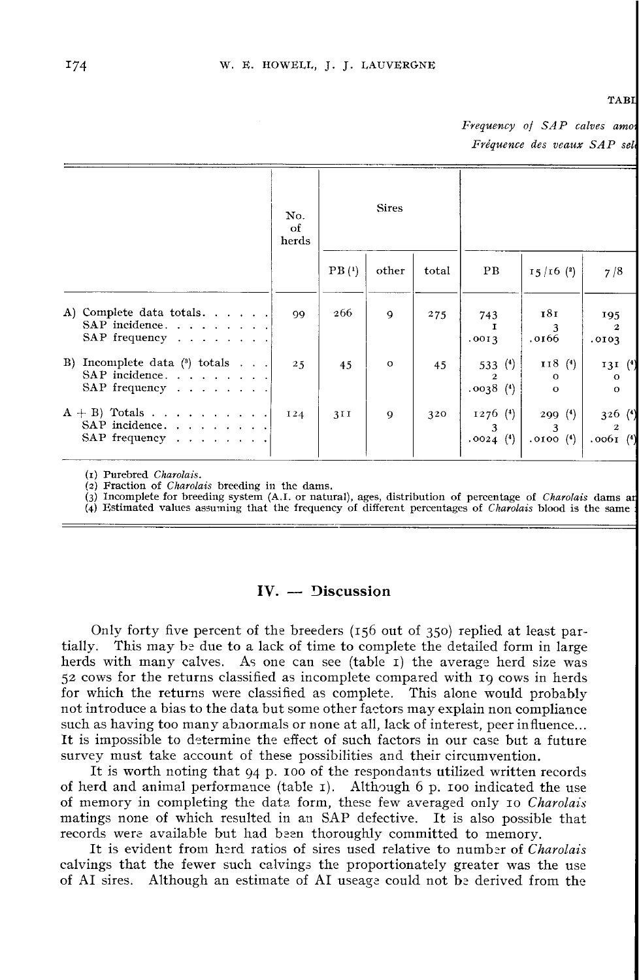#### **TABI**

Frequency of SAP calves amor Fréquence des veaux SAP sele

|                                                                                        | No.<br>of<br>herds |                   | <b>Sires</b> |       |                                       |                                   |                                    |
|----------------------------------------------------------------------------------------|--------------------|-------------------|--------------|-------|---------------------------------------|-----------------------------------|------------------------------------|
|                                                                                        |                    | PB <sub>(1)</sub> | other        | total | PВ                                    | $15/16$ (2)                       | 7/8                                |
| A) Complete data totals.<br>SAP incidence.<br>SAP frequency $\ldots$ $\ldots$ $\ldots$ | 99                 | 266               | $\mathbf Q$  | 275   | 743<br>Т<br>.0013                     | 181<br>3<br>.0166                 | 195<br>$\mathbf{2}$<br>.0103       |
| Incomplete data $(3)$ totals<br>B)<br>SAP incidence.<br>SAP frequency                  | 2.5                | 45                | $\circ$      | 45    | 533 $(4)$<br>$\mathbf{2}$<br>.0038(4) | 118(4)<br>$\circ$<br>$\mathbf{o}$ | 131(4)<br>$\circ$<br>$\Omega$      |
| $A + B$ ) Totals<br>SAP incidence.<br>SAP frequency                                    | I <sub>24</sub>    | 3II               | 9            | 320   | $1276$ (4)<br>3<br>.0024(4)           | 299(4)<br>3<br>$.0100$ $(4)$      | 326(4)<br>$\mathbf{2}$<br>.0061(4) |

(1) Purebred Charolais.

(2) Fraction of *Charolais* breeding in the dams.

 $\langle 3 \rangle$  Incomplete for breeding system (A.I. or natural), ages, distribution of percentage of *Charolais* dams are

(4) Estimated values assuming that the frequency of different percentages of Charolais blood is the same

### $IV. - Disclusion$

Only forty five percent of the breeders (156 out of 350 ) replied at least partially. This may be due to a lack of time to complete the detailed form in large herds with many calves. As one can see (table I) the average herd size was 52 cows for the returns classified as incomplete compared with 19 cows in herds for which the returns were classified as complete. This alone would probably not introduce a bias to the data but some other factors may explain non compliance such as having too many abnormals or none at all, lack of interest, peer influence... It is impossible to determine the effect of such factors in our case but a future survey must take account of these possibilities and their circumvention.

It is worth noting that 94 p. 100 of the respondants utilized written records of herd and animal performance (table  $I$ ). Although 6 p. 100 indicated the use of memory in completing the data form, these few averaged only 10 *Charolais* It is impossible to determine the effect of such factors in our case but a future<br>survey must take account of these possibilities and their circumvention.<br>It is worth noting that 94 p. 100 of the respondants utilized writt matings none of which resulted in an SAP defective. It is also possible that records were available but had been thoroughly committed to memory.

It is evident from herd ratios of sires used relative to number of Charolais calvings that the fewer such calvings the proportionately greater was the use of AI sires. Although an estimate of AI useage could not be derived from the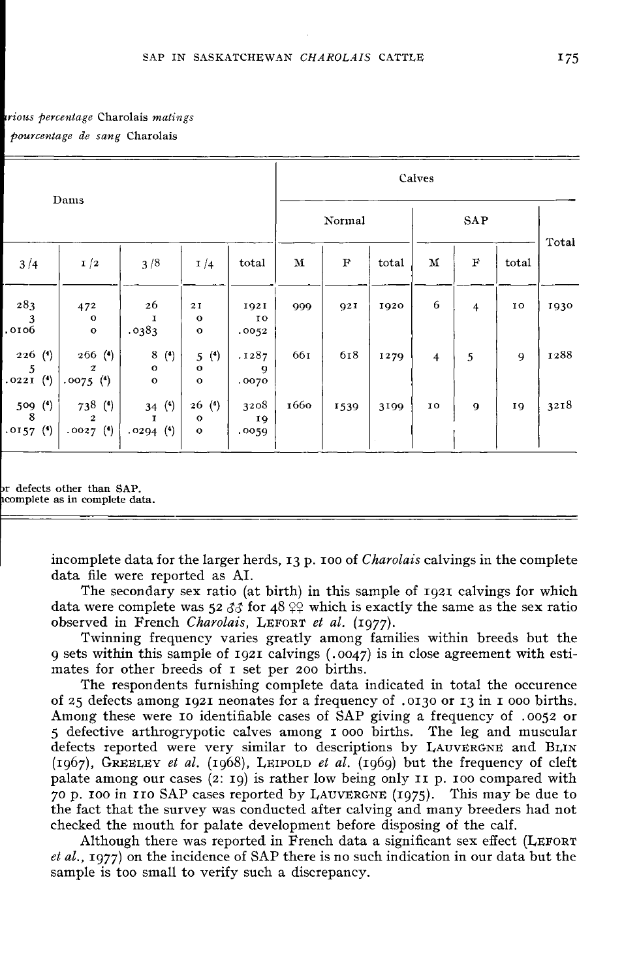### trious percentage Charolais matings pourcentage de sang Charolais

|                             |                                                |                                           |                                                 |                               | Calves      |             |       |                |                         |       |       |  |
|-----------------------------|------------------------------------------------|-------------------------------------------|-------------------------------------------------|-------------------------------|-------------|-------------|-------|----------------|-------------------------|-------|-------|--|
| Dams                        |                                                |                                           |                                                 |                               |             | Normal      |       | SAP            |                         |       |       |  |
| 3/4                         | 1/2                                            | 3/8                                       | $\frac{1}{4}$                                   | total                         | $\mathbf M$ | $\mathbf F$ | total | $\mathbf M$    | $\mathbf F$             | total | Total |  |
| 283<br>3<br>.0106           | 472<br>$\circ$<br>$\mathbf{o}$                 | 26<br>I<br>.0383                          | $2\,\mathrm{I}$<br>$\mathbf{o}$<br>$\mathbf{o}$ | 1921<br>ΙO<br>.0052           | 999         | 921         | 1920  | 6              | $\overline{\mathbf{4}}$ | 10    | 1930  |  |
| $226$ (4)<br>5<br>.0221(4)  | $266$ (4)<br>$\boldsymbol{z}$<br>$.0075$ $(4)$ | 8(4)<br>$\mathbf{o}$<br>$\circ$           | 5(4)<br>$\mathbf{o}$<br>$\mathbf{o}$            | .1287<br>$\mathbf Q$<br>.0070 | 661         | 618         | 1279  | $\overline{4}$ | 5                       | 9     | 1288  |  |
| 509 (4)<br>8<br>$.0157$ (4) | 738 (4)<br>$\overline{2}$<br>$.0027$ $(4)$     | 34 $(4)$<br>$\mathbf{r}$<br>$.0294$ $(4)$ | 26(4)<br>$\mathbf{o}$<br>$\mathbf{o}$           | 3208<br>19<br>.0059           | 1660        | 1539        | 3199  | 10             | 9                       | 19    | 3218  |  |

or defects other than SAP. acomplete as in complete data.

> incomplete data for the larger herds,  $13 p$ , 100 of *Charolais* calvings in the complete data file were reported as AI.

The secondary sex ratio (at birth) in this sample of ig2i calvings for which data were complete was  $52 \, \delta \dot{\delta}$  for  $48 \, \Omega$ ? which is exactly the same as the sex ratio incomplete data for the larger herds, 13 p. 100 of *Chard*<br>data file were reported as AI.<br>The secondary sex ratio (at birth) in this sample<br>data were complete was 52  $33$  for 48  $22$  which is exac<br>observed in French *Char* 

Twinning frequency varies greatly among families within breeds but the observed in French Charolais, LEFORT et al. (1977).<br>Twinning frequency varies greatly among families within breeds but the<br>9 sets within this sample of 1921 calvings (.0047) is in close agreement with estimates for other breeds of I set per 200 births.

The respondents furnishing complete data indicated in total the occurence of 25 defects among igzi neonates for a frequency of . 0130 or z3 in I ooo births. Among these were 10 identifiable cases of SAP giving a frequency of . oo52 or <sup>5</sup> defective arthrogrypotic calves among i ooo births. The leg and muscular g sets within this sample of 1921 calvings (.0047) is in close agreement with esti-<br>mates for other breeds of 1 set per 200 births.<br>The respondents furnishing complete data indicated in total the occurence<br>of 25 defects a The respondents furnishing complete data indicated in total the occurence<br>of 25 defects among 1921 neonates for a frequency of .0130 or 13 in 1 000 births.<br>Among these were 10 identifiable cases of SAP giving a frequency (1967), GREELEY *et al.* (1968), LEIPOLD *et al.* (1969) but the frequency of cleft palate among our cases (2: 19) is rather low being only 11 p. 100 compared with 70 p. 100 in 110 SAP cases reported by LAUVERGNE (1975). or 25 derects among 1921 neonates for a frequency of .0130 or 13 in 1 000 births.<br>Among these were 10 identifiable cases of SAP giving a frequency of .0052 or<br>5 defective arthrogrypotic calves among 1 000 births. The leg a the fact that the survey was conducted after calving and many breeders had not checked the mouth for palate development before disposing of the calf.

Although there was reported in French data a significant sex effect ( $L$ EFORT $\,$ checked the mouth for palate development before disposing of the calf.<br>
Although there was reported in French data a significant sex effect (LEFORT<br> *et al.*, 1977) on the incidence of SAP there is no such indication in ou sample is too small to verify such a discrepancy.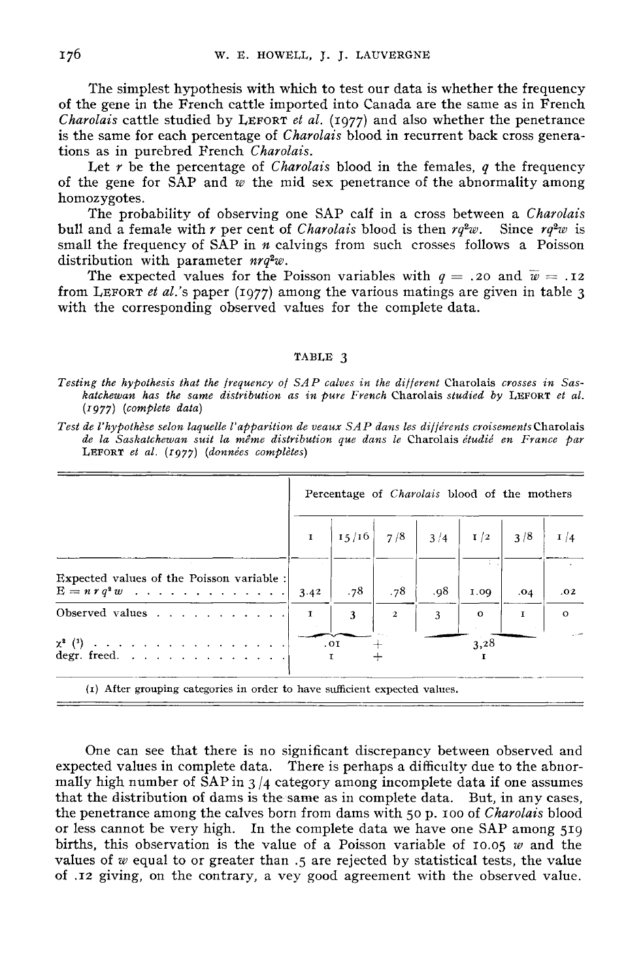The simplest hypothesis with which to test our data is whether the frequency

of the gene in the French cattle imported into Canada are the same as in French The simplest hypothesis with which to test our data is whether the frequency<br>of the gene in the French cattle imported into Canada are the same as in French<br>*Charolais* cattle studied by LEFORT *et al.* (1977) and also whe is the same for each percentage of Charolais blood in recurrent back cross generations as in purebred French Charolais.

Let r be the percentage of *Charolais* blood in the females, q the frequency of the gene for SAP and  $w$  the mid sex penetrance of the abnormality among homozygotes.

The probability of observing one SAP calf in a cross between a Charolais bull and a female with r per cent of *Charolais* blood is then  $rq^2w$ . Since  $rq^2w$  is small the frequency of SAP in  $n$  calvings from such crosses follows a Poisson distribution with parameter  $nrq^2w$ . The expected values for the Poisson variables with  $q = .20$  and  $\overline{w} = .12$ <br>The expected values for the Poisson variables with  $q = .20$  and  $\overline{w} = .12$ <br>The expected values for the Poisson variables with  $q = .20$  and  $\overline{w$ Ine probability of observing one SAP call in a cross between a *Charolais*<br>bull and a female with r per cent of *Charolais* blood is then  $rq^2w$ . Since  $rq^2w$  is<br>small the frequency of SAP in *n* calvings from such crosse

with the corresponding observed values for the complete data.

#### TABLE 3

Test de l'hypothèse selon laquelle l'apparition de veaux SAP dans les différents croisements Charolais de la Saskatchewan suit la même distribution que dans le Charolais étudié en France par LEFORT et al. (1977) (données complètes)

|                                                                   | Percentage of <i>Charolais</i> blood of the mothers |     |                |     |         |              |               |  |
|-------------------------------------------------------------------|-----------------------------------------------------|-----|----------------|-----|---------|--------------|---------------|--|
|                                                                   |                                                     |     |                |     |         |              | $\frac{1}{4}$ |  |
| Expected values of the Poisson variable :<br>$E = n r q^2 w$ 3.42 |                                                     | .78 | .78            | .98 | 1.09    | .04          | .02           |  |
| Observed values $\ldots$ , $\ldots$ , $\ldots$                    |                                                     | 3   | $\overline{2}$ | 3   | $\circ$ | $\mathbf{I}$ | $\Omega$      |  |
| degr. freed. $\ldots$ $\ldots$ $\ldots$ $\ldots$ $\ldots$         |                                                     | .01 |                |     | 3,28    |              |               |  |

(1) After grouping categories in order to have sufficient expected values.

One can see that there is no significant discrepancy between observed and expected values in complete data. There is perhaps a difficulty due to the abnormally high number of SAP in  $3/4$  category among incomplete data if one assumes that the distribution of dams is the same as in complete data. But, in any cases, the penetrance among the calves born from dams with 50 p. 100 of *Charolais* blood the penetrance among the calves born from dams with 50 p. 100 of *Charolais* blood<br>or less cannot be very high. In the complete data we have one SAP among 519<br>births, this observation is the value of a Poisson variable of values of  $w$  equal to or greater than .5 are rejected by statistical tests, the value of .12 giving, on the contrary, a vey good agreement with the observed value.

Testing the hypothesis that the frequency of SAP calves in the different Charolais crosses in Saskatchewan has the same distribution as in pure French Charolais studied by LEFORT et al.  $(1977)$  (complete data)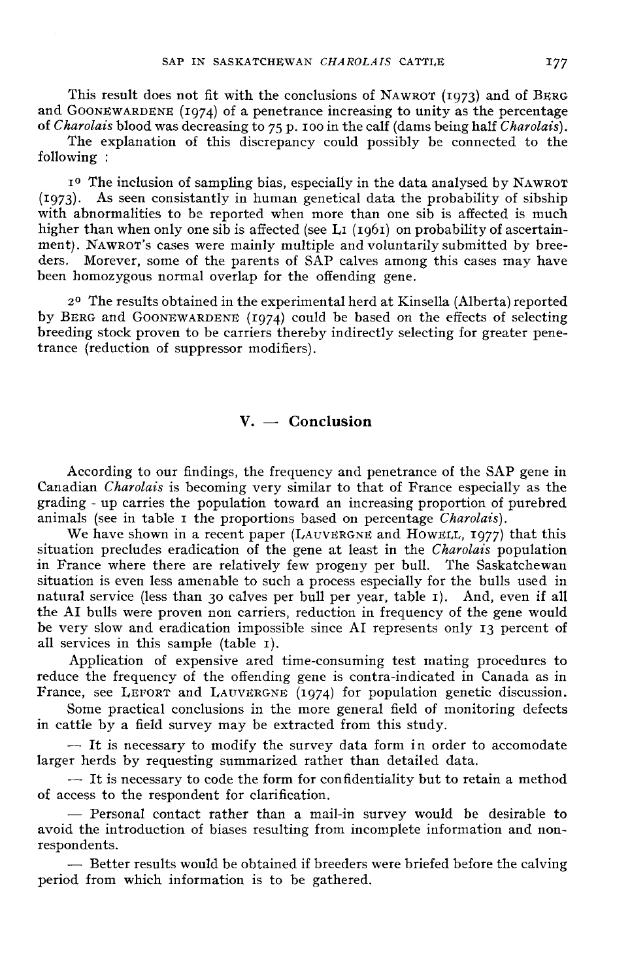SAP IN SASKATCHEWAN *CHAROLAIS* CATTLE 177<br>This result does not fit with the conclusions of NAWROT (1973) and of BERG<br>and GOONEWARDENE (1974) of a penetrance increasing to unity as the percentage<br>of *Charolais* blood was d SAP IN SASKATCHEWAN *CHAROLAIS* CATTLE 177<br>This result does not fit with the conclusions of NAWROT (1973) and of BERG<br>and GOONEWARDENE (1974) of a penetrance increasing to unity as the percentage<br>of *Charolais* blood was d and GOONEWARDENE (1974) of a penetrance increasing to unity as the percentage

The explanation of this discrepancy could possibly be connected to the following : narolais blood was decreasing to 75 p. 100 in the calf (dams being half *Charolais*).<br>The explanation of this discrepancy could possibly be connected to the<br>wing:<br>The inclusion of sampling bias, especially in the data anal

following :<br>1º The inclusion of sampling bias, especially in the data analysed by NAWROT<br>(1973). As seen consistantly in human genetical data the probability of sibship<br>with abnormalities to be reported when more than one with abnormalities to be reported when more than one sib is affected is much higher than when only one sib is affected (see L<sub>I</sub> ( $1961$ ) on probability of ascertain-(1973). As seen consistantly in human genetical data the probability of sibship<br>with abnormalities to be reported when more than one sib is affected is much<br>higher than when only one sib is affected (see LI (1961) on prob To The inclusion of sampling bias, especially in the data analysed by NAWROT (1973). As seen consistantly in human genetical data the probability of sibship with abnormalities to be reported when more than one sib is affe ders. Morever, some of the parents of SAP calves among this cases may have been homozygous normal overlap for the offending gene. I<sup>o</sup> The inclusion of sampling bias, especially in the data analysed by NAWROT<br>(1973). As seen consistantly in human genetical data the probability of sibship<br>with abnormalities to be reported when more than one sib is af

2<sup>0</sup> The results obtained in the experimental herd at Kinsella (Alberta) reported by BERG and GOONEWARDENE  $(1974)$  could be based on the effects of selecting breeding stock proven to be carriers thereby indirectly selecting for greater penetrance (reduction of suppressor modifiers).

# $V. -$  Conclusion

According to our findings, the frequency and penetrance of the SAP gene in Canadian Charolais is becoming very similar to that of France especially as the grading - up carries the population toward an increasing proportion of purebred animals (see in table I the proportions based on percentage *Charolais*).<br>We have shown in a recent paper (LAUVERGNE and HOWELL, 1977) that this According to our findings, the frequency and penetrance of the SAP gene in Canadian *Charolais* is becoming very similar to that of France especially as the grading - up carries the population toward an increasing proporti

in France where there are relatively few progeny per bull. The Saskatchewan situation is even less amenable to such a process especially for the bulls used in natural service (less than 30 calves per bull per year, table i). And, even if all the AI bulls were proven non carriers, reduction in frequency of the gene would be very slow and eradication impossible since AI represents only 13 percent of all services in this sample (table i).

Application of expensive ared time-consuming test mating procedures to reduce the frequency of the offending gene is contra-indicated in Canada as in France, see LEFORT and LAUVERGNE (1974) for population genetic discussion. all services in this sample (table 1).<br>Application of expensive ared time-consuming test mating procedures to<br>reduce the frequency of the offending gene is contra-indicated in Canada as in<br>France, see LEFORT and LAUVERGNE

Some practical conclusions in the more general field of monitoring defects in cattle by a field survey may be extracted from this study.

-- It is necessary to modify the survey data form in order to accomodate larger herds by requesting summarized rather than detailed data.

- It is necessary to code the form for confidentiality but to retain a method of access to the respondent for clarification.

 $-$  Personal contact rather than a mail-in survey would be desirable to avoid the introduction of biases resulting from incomplete information and non-

- Better results would be obtained if breeders were briefed before the calving period from which information is to be gathered.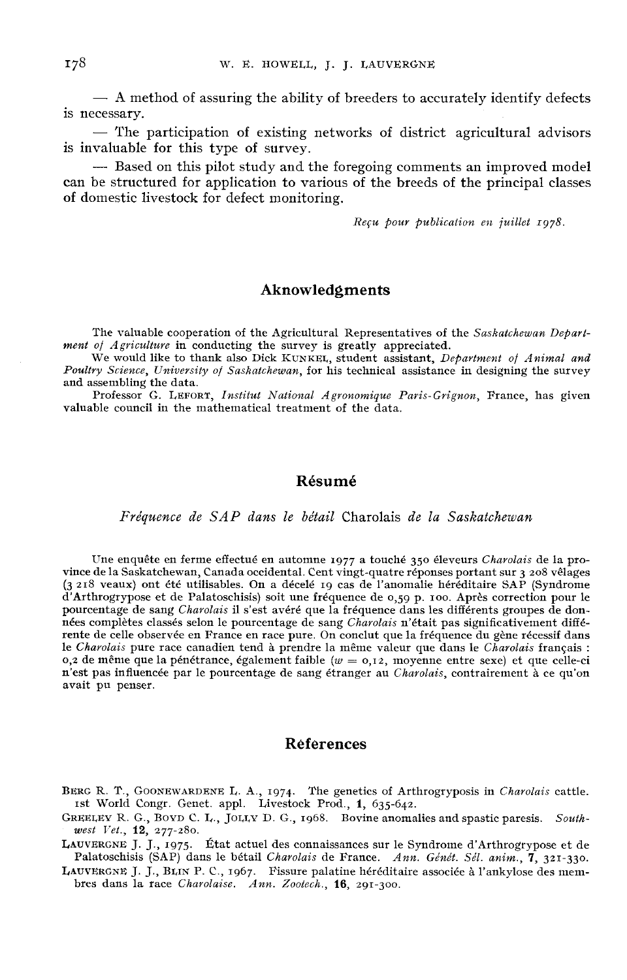$-$  A method of assuring the ability of breeders to accurately identify defects is necessary.

 $-$  The participation of existing networks of district agricultural advisors is invaluable for this type of survey.

- Based on this pilot study and the foregoing comments an improved model can be structured for application to various of the breeds of the principal classes of domestic livestock for defect monitoring.

 $Recu$  pour publication en juillet  $1978$ .

## Aknowledgments

The valuable cooperation of the Agricultural Representatives of the Saskatchewan Depart-<br>ment of Agriculture in conducting the survey is greatly appreciated.<br>We would like to thank also Dick KUNKEL, student assistant, Depa

Poultry Science, University of Saskatchewan, for his technical assistance in designing the survey and assembling the data.

Professor G. LEFORT, Institut National Agronomique Paris-Grignon, France, has given valuable council in the mathematical treatment of the data.

## Résumé

Fréquence de SAP dans le bétail Charolais de la Saskatchewan

Une enquête en ferme effectué en automne 1977 a touché 350 éleveurs Charolais de la province de la Saskatchewan, Canada occidental. Cent vingt-quatre réponses portant sur 3 208 vêlages (3 218 veaux) ont été utilisables. On d'Arthrogrypose et de Palatoschisis) soit une fréquence de o,59 p. <sup>100</sup> . Après correction pour le pourcentage de sang Charolais il s'est avéré que la fréquence dans les différents groupes de données complètes classés selon le pourcentage de sang Charolais n'était pas significativement différente de celle observée en France en race pure. On conclut que la fréquence du gène récessif dans<br>le Charolais pure race canadien tend à prendre la même valeur que dans le Charolais français : o, 2 de même que la pénétrance, également faible ( $w = 0,12$ , moyenne entre sexe) et que celle-ci n'est pas influencée par le pourcentage de sang étranger au Charolais, contrairement à ce qu'on avait pu penser.

### References

- BERG R. T., GOONEWARDENE L. A., 1974. The genetics of Arthrogryposis in Charolais cattle.<br>BERG R. T., GOONEWARDENE L. A., 1974. The genetics of Arthrogryposis in Charolais cattle.<br>Ist World Congr. Genet. appl. Livestock Pr ist World COONEWARDENE L. A., 1974. The genetics of Art<br>Congr. Genet. appl. Livestock Prod., 1, 635-642.<br>G., BOYD C. L., JOLLY D. G., 1968. Bovine anoma FRG R. T., GOONEWARI<br>1st World Congr. Gen<br>REELEY R. G., BOYD C.<br>west Vet., 12, 277-280.<br>UUVERGNE J. J., 1975.
- Ist World Congr. Genet. appl. Livestock Prod., 1, 635-642.<br>GREELEV R. G., BOVD C. L., JOLLY D. G., 1968. Bovine anomalies and spastic paresis. South-GREELEY K. G., BOYD C. L., JOLLY D. G., 1968. Bovine anomalies and spastic paresis. South-<br>  $west$  Vet., 12, 277-280.<br>
LAUVERGNE J. J., 1975. État actuel des connaissances sur le Syndrome d'Arthrogrypose et de<br>
Palatoschisis BERG R. T.<br>
1st World<br>
GREELEY R<br>
west Vet.,<br>
LAUVERGNE<br>
Palatosch<br>
LAUVERGNE<br>
bres dans PALATORY R. G., BOYD C. L., JOLLY D. G., 1968. Bovine anomalies and spastic paresis. South-<br>REELEY R. G., BOYD C. L., JOLLY D. G., 1968. Bovine anomalies and spastic paresis. South-<br>WERGNE J. J., 1975. État actuel des con BERG R. T., GOONEWARDENE L. A., 1974. The genetics of Arthrogryposis in Charolais cattle.<br>
SREELEY R. G., BOVD C. L., JOLLY D. G., 1968. Bovine anomalies and spastic paresis. South-<br>
vest Vet., 12, 277-280.<br>
LAUVERGNE J. J
- 
-